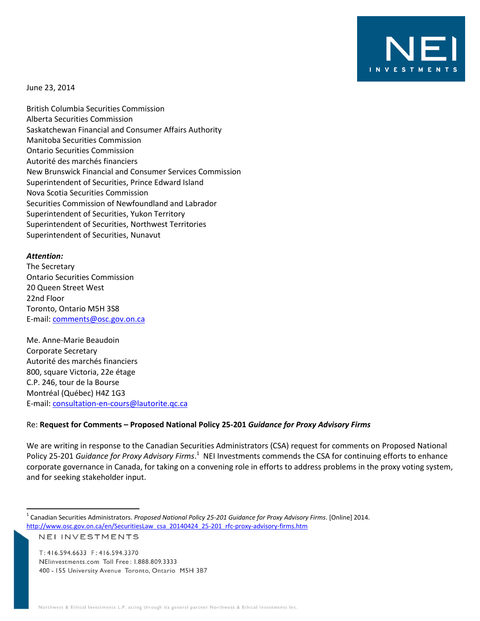

June 23, 2014

British Columbia Securities Commission Alberta Securities Commission Saskatchewan Financial and Consumer Affairs Authority Manitoba Securities Commission Ontario Securities Commission Autorité des marchés financiers New Brunswick Financial and Consumer Services Commission Superintendent of Securities, Prince Edward Island Nova Scotia Securities Commission Securities Commission of Newfoundland and Labrador Superintendent of Securities, Yukon Territory Superintendent of Securities, Northwest Territories Superintendent of Securities, Nunavut

#### *Attention:*

 $\overline{\phantom{a}}$ 

The Secretary Ontario Securities Commission 20 Queen Street West 22nd Floor Toronto, Ontario M5H 3S8 E-mail: [comments@osc.gov.on.ca](mailto:comments@osc.gov.on.ca) 

Me. Anne-Marie Beaudoin Corporate Secretary Autorité des marchés financiers 800, square Victoria, 22e étage C.P. 246, tour de la Bourse Montréal (Québec) H4Z 1G3 E-mail: [consultation-en-cours@lautorite.qc.ca](mailto:consultation-en-cours@lautorite.qc.ca)

#### Re: **Request for Comments – Proposed National Policy 25-201** *Guidance for Proxy Advisory Firms*

We are writing in response to the Canadian Securities Administrators (CSA) request for comments on Proposed National Policy 25-201 *Guidance for Proxy Advisory Firms*.<sup>1</sup> NEI Investments commends the CSA for continuing efforts to enhance corporate governance in Canada, for taking on a convening role in efforts to address problems in the proxy voting system, and for seeking stakeholder input.

```
NEI INVESTMENTS
```
T: 416.594.6633 F: 416.594.3370 NElinvestments.com Toll Free: 1.888.809.3333 400 - 155 University Avenue Toronto, Ontario M5H 3B7

<sup>1</sup> Canadian Securities Administrators. *Proposed National Policy 25-201 Guidance for Proxy Advisory Firms*. [Online] 2014. [http://www.osc.gov.on.ca/en/SecuritiesLaw\\_csa\\_20140424\\_25-201\\_rfc-proxy-advisory-firms.htm](http://www.osc.gov.on.ca/en/SecuritiesLaw_csa_20140424_25-201_rfc-proxy-advisory-firms.htm)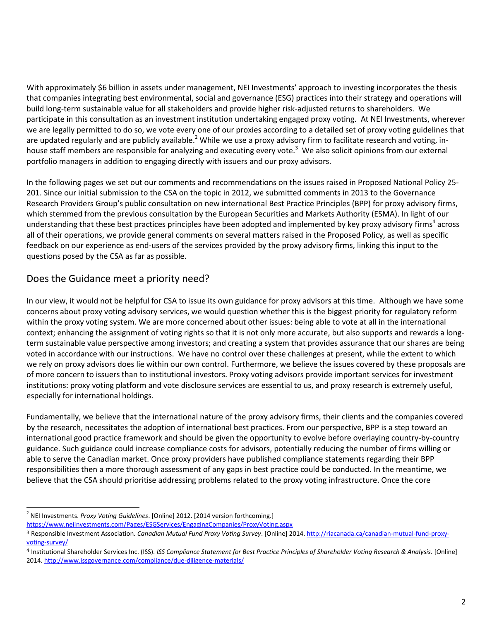With approximately \$6 billion in assets under management, NEI Investments' approach to investing incorporates the thesis that companies integrating best environmental, social and governance (ESG) practices into their strategy and operations will build long-term sustainable value for all stakeholders and provide higher risk-adjusted returns to shareholders. We participate in this consultation as an investment institution undertaking engaged proxy voting. At NEI Investments, wherever we are legally permitted to do so, we vote every one of our proxies according to a detailed set of proxy voting guidelines that are updated regularly and are publicly available.<sup>2</sup> While we use a proxy advisory firm to facilitate research and voting, inhouse staff members are responsible for analyzing and executing every vote.<sup>3</sup> We also solicit opinions from our external portfolio managers in addition to engaging directly with issuers and our proxy advisors.

In the following pages we set out our comments and recommendations on the issues raised in Proposed National Policy 25- 201. Since our initial submission to the CSA on the topic in 2012, we submitted comments in 2013 to the Governance Research Providers Group's public consultation on new international Best Practice Principles (BPP) for proxy advisory firms, which stemmed from the previous consultation by the European Securities and Markets Authority (ESMA). In light of our understanding that these best practices principles have been adopted and implemented by key proxy advisory firms<sup>4</sup> across all of their operations, we provide general comments on several matters raised in the Proposed Policy, as well as specific feedback on our experience as end-users of the services provided by the proxy advisory firms, linking this input to the questions posed by the CSA as far as possible.

# Does the Guidance meet a priority need?

In our view, it would not be helpful for CSA to issue its own guidance for proxy advisors at this time. Although we have some concerns about proxy voting advisory services, we would question whether this is the biggest priority for regulatory reform within the proxy voting system. We are more concerned about other issues: being able to vote at all in the international context; enhancing the assignment of voting rights so that it is not only more accurate, but also supports and rewards a longterm sustainable value perspective among investors; and creating a system that provides assurance that our shares are being voted in accordance with our instructions. We have no control over these challenges at present, while the extent to which we rely on proxy advisors does lie within our own control. Furthermore, we believe the issues covered by these proposals are of more concern to issuers than to institutional investors. Proxy voting advisors provide important services for investment institutions: proxy voting platform and vote disclosure services are essential to us, and proxy research is extremely useful, especially for international holdings.

Fundamentally, we believe that the international nature of the proxy advisory firms, their clients and the companies covered by the research, necessitates the adoption of international best practices. From our perspective, BPP is a step toward an international good practice framework and should be given the opportunity to evolve before overlaying country-by-country guidance. Such guidance could increase compliance costs for advisors, potentially reducing the number of firms willing or able to serve the Canadian market. Once proxy providers have published compliance statements regarding their BPP responsibilities then a more thorough assessment of any gaps in best practice could be conducted. In the meantime, we believe that the CSA should prioritise addressing problems related to the proxy voting infrastructure. Once the core

 $\overline{\phantom{a}}$ 2 NEI Investments. *Proxy Voting Guidelines*. [Online] 2012. [2014 version forthcoming.]

<https://www.neiinvestments.com/Pages/ESGServices/EngagingCompanies/ProxyVoting.aspx>

<sup>3</sup> Responsible Investment Association. *Canadian Mutual Fund Proxy Voting Survey*. [Online] 2014[. http://riacanada.ca/canadian-mutual-fund-proxy](http://riacanada.ca/canadian-mutual-fund-proxy-voting-survey/)[voting-survey/](http://riacanada.ca/canadian-mutual-fund-proxy-voting-survey/)

<sup>4</sup> Institutional Shareholder Services Inc. (ISS). *ISS Compliance Statement for Best Practice Principles of Shareholder Voting Research & Analysis.* [Online] 2014[. http://www.issgovernance.com/compliance/due-diligence-materials/](http://www.issgovernance.com/compliance/due-diligence-materials/)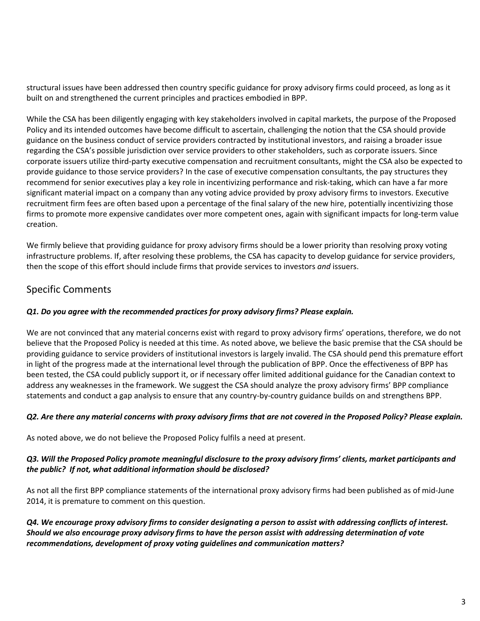structural issues have been addressed then country specific guidance for proxy advisory firms could proceed, as long as it built on and strengthened the current principles and practices embodied in BPP.

While the CSA has been diligently engaging with key stakeholders involved in capital markets, the purpose of the Proposed Policy and its intended outcomes have become difficult to ascertain, challenging the notion that the CSA should provide guidance on the business conduct of service providers contracted by institutional investors, and raising a broader issue regarding the CSA's possible jurisdiction over service providers to other stakeholders, such as corporate issuers. Since corporate issuers utilize third-party executive compensation and recruitment consultants, might the CSA also be expected to provide guidance to those service providers? In the case of executive compensation consultants, the pay structures they recommend for senior executives play a key role in incentivizing performance and risk-taking, which can have a far more significant material impact on a company than any voting advice provided by proxy advisory firms to investors. Executive recruitment firm fees are often based upon a percentage of the final salary of the new hire, potentially incentivizing those firms to promote more expensive candidates over more competent ones, again with significant impacts for long-term value creation.

We firmly believe that providing guidance for proxy advisory firms should be a lower priority than resolving proxy voting infrastructure problems. If, after resolving these problems, the CSA has capacity to develop guidance for service providers, then the scope of this effort should include firms that provide services to investors *and* issuers.

# Specific Comments

### *Q1. Do you agree with the recommended practices for proxy advisory firms? Please explain.*

We are not convinced that any material concerns exist with regard to proxy advisory firms' operations, therefore, we do not believe that the Proposed Policy is needed at this time. As noted above, we believe the basic premise that the CSA should be providing guidance to service providers of institutional investors is largely invalid. The CSA should pend this premature effort in light of the progress made at the international level through the publication of BPP. Once the effectiveness of BPP has been tested, the CSA could publicly support it, or if necessary offer limited additional guidance for the Canadian context to address any weaknesses in the framework. We suggest the CSA should analyze the proxy advisory firms' BPP compliance statements and conduct a gap analysis to ensure that any country-by-country guidance builds on and strengthens BPP.

#### *Q2. Are there any material concerns with proxy advisory firms that are not covered in the Proposed Policy? Please explain.*

As noted above, we do not believe the Proposed Policy fulfils a need at present.

#### *Q3. Will the Proposed Policy promote meaningful disclosure to the proxy advisory firms' clients, market participants and the public? If not, what additional information should be disclosed?*

As not all the first BPP compliance statements of the international proxy advisory firms had been published as of mid-June 2014, it is premature to comment on this question.

*Q4. We encourage proxy advisory firms to consider designating a person to assist with addressing conflicts of interest. Should we also encourage proxy advisory firms to have the person assist with addressing determination of vote recommendations, development of proxy voting guidelines and communication matters?*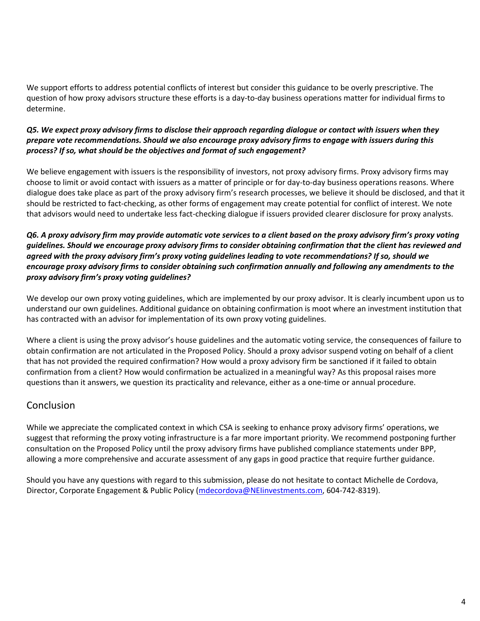We support efforts to address potential conflicts of interest but consider this guidance to be overly prescriptive. The question of how proxy advisors structure these efforts is a day-to-day business operations matter for individual firms to determine.

### *Q5. We expect proxy advisory firms to disclose their approach regarding dialogue or contact with issuers when they prepare vote recommendations. Should we also encourage proxy advisory firms to engage with issuers during this process? If so, what should be the objectives and format of such engagement?*

We believe engagement with issuers is the responsibility of investors, not proxy advisory firms. Proxy advisory firms may choose to limit or avoid contact with issuers as a matter of principle or for day-to-day business operations reasons. Where dialogue does take place as part of the proxy advisory firm's research processes, we believe it should be disclosed, and that it should be restricted to fact-checking, as other forms of engagement may create potential for conflict of interest. We note that advisors would need to undertake less fact-checking dialogue if issuers provided clearer disclosure for proxy analysts.

### *Q6. A proxy advisory firm may provide automatic vote services to a client based on the proxy advisory firm's proxy voting guidelines. Should we encourage proxy advisory firms to consider obtaining confirmation that the client has reviewed and agreed with the proxy advisory firm's proxy voting guidelines leading to vote recommendations? If so, should we encourage proxy advisory firms to consider obtaining such confirmation annually and following any amendments to the proxy advisory firm's proxy voting guidelines?*

We develop our own proxy voting guidelines, which are implemented by our proxy advisor. It is clearly incumbent upon us to understand our own guidelines. Additional guidance on obtaining confirmation is moot where an investment institution that has contracted with an advisor for implementation of its own proxy voting guidelines.

Where a client is using the proxy advisor's house guidelines and the automatic voting service, the consequences of failure to obtain confirmation are not articulated in the Proposed Policy. Should a proxy advisor suspend voting on behalf of a client that has not provided the required confirmation? How would a proxy advisory firm be sanctioned if it failed to obtain confirmation from a client? How would confirmation be actualized in a meaningful way? As this proposal raises more questions than it answers, we question its practicality and relevance, either as a one-time or annual procedure.

## Conclusion

While we appreciate the complicated context in which CSA is seeking to enhance proxy advisory firms' operations, we suggest that reforming the proxy voting infrastructure is a far more important priority. We recommend postponing further consultation on the Proposed Policy until the proxy advisory firms have published compliance statements under BPP, allowing a more comprehensive and accurate assessment of any gaps in good practice that require further guidance.

Should you have any questions with regard to this submission, please do not hesitate to contact Michelle de Cordova, Director, Corporate Engagement & Public Policy [\(mdecordova@NEIinvestments.com,](mailto:mdecordova@NEIinvestments.com) 604-742-8319).